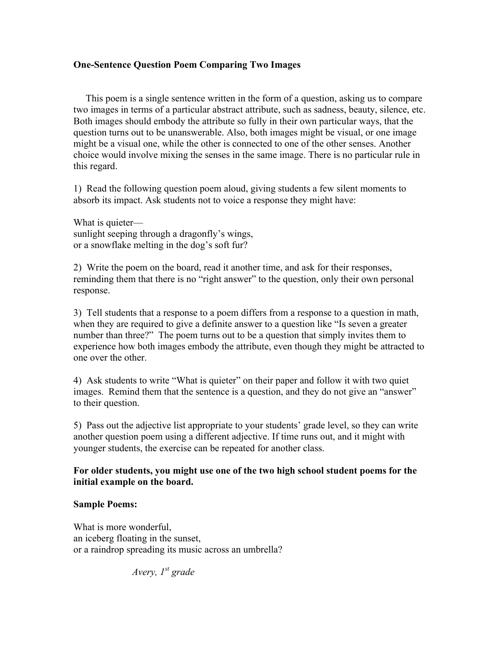## **One-Sentence Question Poem Comparing Two Images**

This poem is a single sentence written in the form of a question, asking us to compare two images in terms of a particular abstract attribute, such as sadness, beauty, silence, etc. Both images should embody the attribute so fully in their own particular ways, that the question turns out to be unanswerable. Also, both images might be visual, or one image might be a visual one, while the other is connected to one of the other senses. Another choice would involve mixing the senses in the same image. There is no particular rule in this regard.

1) Read the following question poem aloud, giving students a few silent moments to absorb its impact. Ask students not to voice a response they might have:

What is quieter sunlight seeping through a dragonfly's wings, or a snowflake melting in the dog's soft fur?

2) Write the poem on the board, read it another time, and ask for their responses, reminding them that there is no "right answer" to the question, only their own personal response.

3) Tell students that a response to a poem differs from a response to a question in math, when they are required to give a definite answer to a question like "Is seven a greater number than three?" The poem turns out to be a question that simply invites them to experience how both images embody the attribute, even though they might be attracted to one over the other.

4) Ask students to write "What is quieter" on their paper and follow it with two quiet images. Remind them that the sentence is a question, and they do not give an "answer" to their question.

5) Pass out the adjective list appropriate to your students' grade level, so they can write another question poem using a different adjective. If time runs out, and it might with younger students, the exercise can be repeated for another class.

## **For older students, you might use one of the two high school student poems for the initial example on the board.**

## **Sample Poems:**

What is more wonderful. an iceberg floating in the sunset, or a raindrop spreading its music across an umbrella?

*Avery, 1st grade*